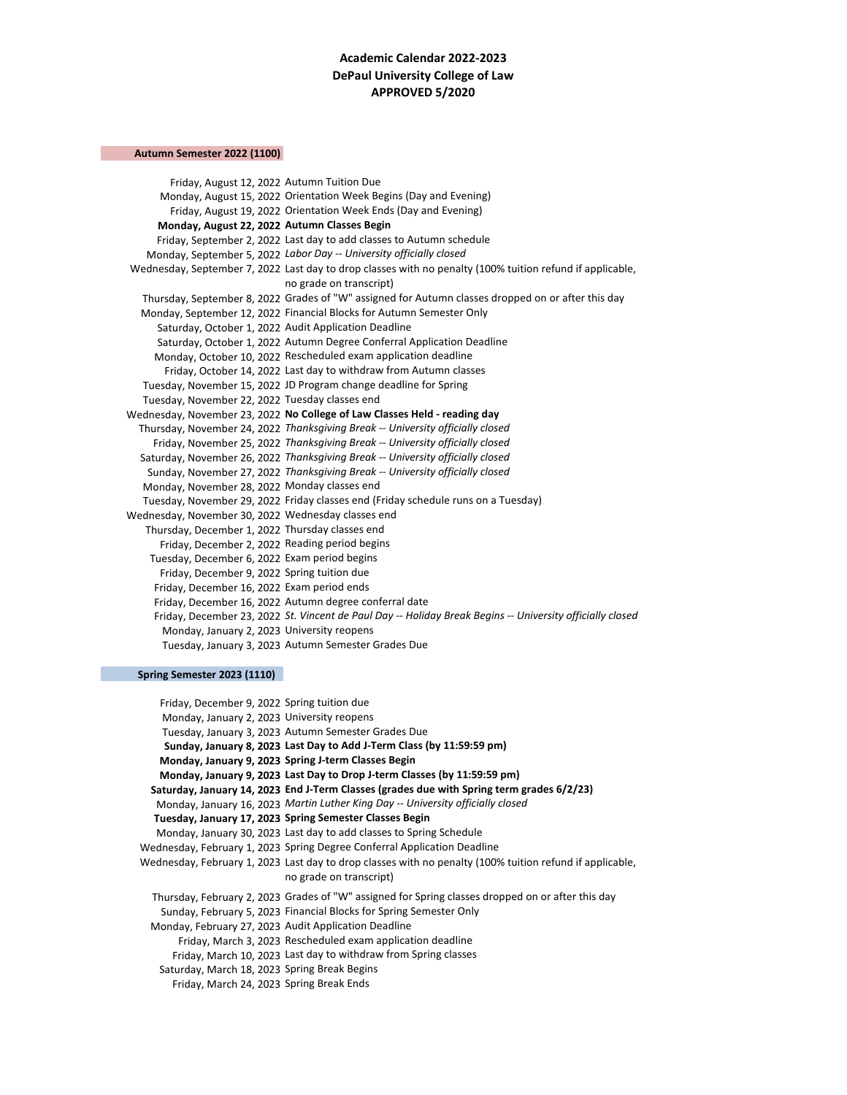# **Academic Calendar 2022-2023 DePaul University College of Law APPROVED 5/2020**

## **Autumn Semester 2022 (1100)**

Friday, August 12, 2022 Autumn Tuition Due Monday, August 15, 2022 Orientation Week Begins (Day and Evening) Friday, August 19, 2022 Orientation Week Ends (Day and Evening) **Monday, August 22, 2022 Autumn Classes Begin** Friday, September 2, 2022 Last day to add classes to Autumn schedule Monday, September 5, 2022 *Labor Day -- University officially closed* Wednesday, September 7, 2022 Last day to drop classes with no penalty (100% tuition refund if applicable, no grade on transcript) Thursday, September 8, 2022 Grades of "W" assigned for Autumn classes dropped on or after this day Monday, September 12, 2022 Financial Blocks for Autumn Semester Only Saturday, October 1, 2022 Audit Application Deadline Saturday, October 1, 2022 Autumn Degree Conferral Application Deadline Monday, October 10, 2022 Rescheduled exam application deadline Friday, October 14, 2022 Last day to withdraw from Autumn classes Tuesday, November 15, 2022 JD Program change deadline for Spring Tuesday, November 22, 2022 Tuesday classes end Wednesday, November 23, 2022 **No College of Law Classes Held - reading day** Thursday, November 24, 2022 *Thanksgiving Break -- University officially closed*  Friday, November 25, 2022 *Thanksgiving Break -- University officially closed*  Saturday, November 26, 2022 *Thanksgiving Break -- University officially closed*  Sunday, November 27, 2022 *Thanksgiving Break -- University officially closed*  Monday, November 28, 2022 Monday classes end Tuesday, November 29, 2022 Friday classes end (Friday schedule runs on a Tuesday) Wednesday, November 30, 2022 Wednesday classes end Thursday, December 1, 2022 Thursday classes end Friday, December 2, 2022 Reading period begins Tuesday, December 6, 2022 Exam period begins Friday, December 9, 2022 Spring tuition due Friday, December 16, 2022 Exam period ends Friday, December 16, 2022 Autumn degree conferral date Friday, December 23, 2022 *St. Vincent de Paul Day -- Holiday Break Begins -- University officially closed* Monday, January 2, 2023 University reopens Tuesday, January 3, 2023 Autumn Semester Grades Due

### **Spring Semester 2023 (1110)**

Friday, December 9, 2022 Spring tuition due Monday, January 2, 2023 University reopens Tuesday, January 3, 2023 Autumn Semester Grades Due **Sunday, January 8, 2023 Last Day to Add J-Term Class (by 11:59:59 pm) Monday, January 9, 2023 Spring J-term Classes Begin Monday, January 9, 2023 Last Day to Drop J-term Classes (by 11:59:59 pm) Saturday, January 14, 2023 End J-Term Classes (grades due with Spring term grades 6/2/23)** Monday, January 16, 2023 *Martin Luther King Day -- University officially closed* **Tuesday, January 17, 2023 Spring Semester Classes Begin** Monday, January 30, 2023 Last day to add classes to Spring Schedule Wednesday, February 1, 2023 Spring Degree Conferral Application Deadline Wednesday, February 1, 2023 Last day to drop classes with no penalty (100% tuition refund if applicable, no grade on transcript) Thursday, February 2, 2023 Grades of "W" assigned for Spring classes dropped on or after this day Sunday, February 5, 2023 Financial Blocks for Spring Semester Only Monday, February 27, 2023 Audit Application Deadline Friday, March 3, 2023 Rescheduled exam application deadline Friday, March 10, 2023 Last day to withdraw from Spring classes Saturday, March 18, 2023 Spring Break Begins Friday, March 24, 2023 Spring Break Ends